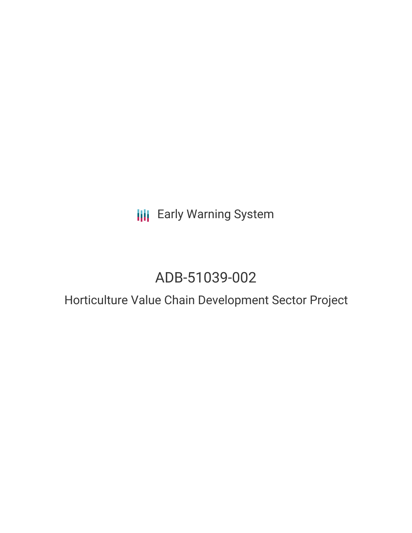**III** Early Warning System

# ADB-51039-002

Horticulture Value Chain Development Sector Project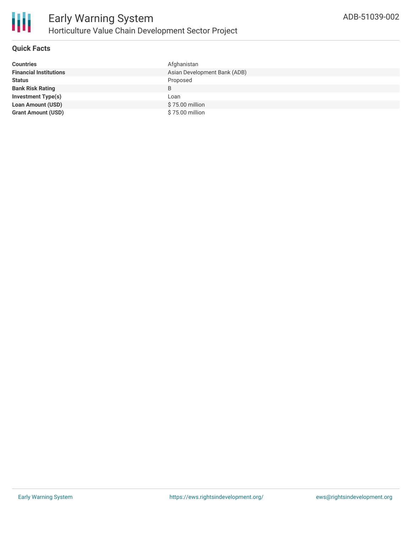

### **Quick Facts**

| <b>Countries</b>              | Afghanistan                  |
|-------------------------------|------------------------------|
| <b>Financial Institutions</b> | Asian Development Bank (ADB) |
| <b>Status</b>                 | Proposed                     |
| <b>Bank Risk Rating</b>       | B                            |
| <b>Investment Type(s)</b>     | Loan                         |
| <b>Loan Amount (USD)</b>      | \$75.00 million              |
| <b>Grant Amount (USD)</b>     | \$75.00 million              |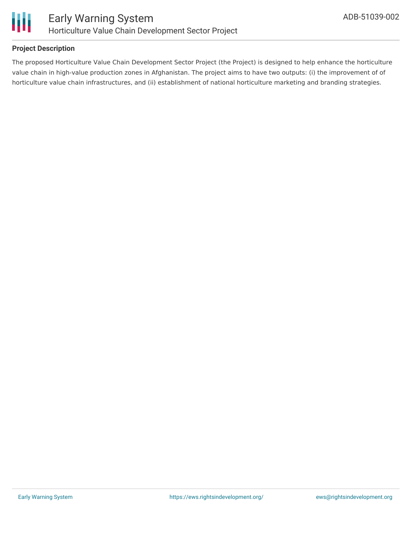

### **Project Description**

The proposed Horticulture Value Chain Development Sector Project (the Project) is designed to help enhance the horticulture value chain in high-value production zones in Afghanistan. The project aims to have two outputs: (i) the improvement of of horticulture value chain infrastructures, and (ii) establishment of national horticulture marketing and branding strategies.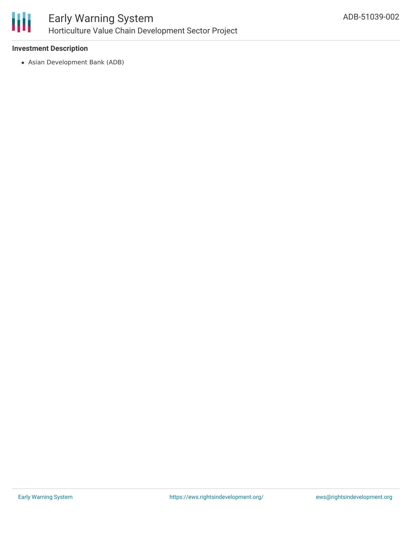

#### **Investment Description**

Asian Development Bank (ADB)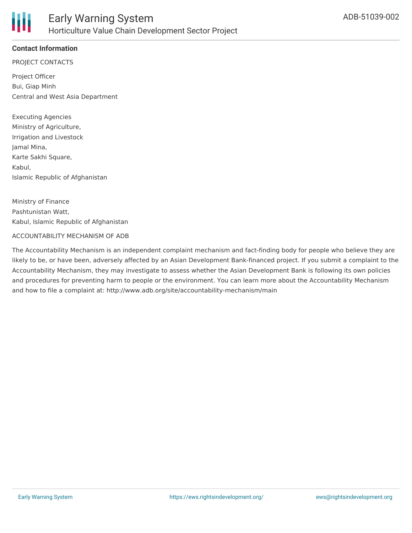

## **Contact Information**

PROJECT CONTACTS

Project Officer Bui, Giap Minh Central and West Asia Department

Executing Agencies Ministry of Agriculture, Irrigation and Livestock Jamal Mina, Karte Sakhi Square, Kabul, Islamic Republic of Afghanistan

Ministry of Finance Pashtunistan Watt, Kabul, Islamic Republic of Afghanistan

#### ACCOUNTABILITY MECHANISM OF ADB

The Accountability Mechanism is an independent complaint mechanism and fact-finding body for people who believe they are likely to be, or have been, adversely affected by an Asian Development Bank-financed project. If you submit a complaint to the Accountability Mechanism, they may investigate to assess whether the Asian Development Bank is following its own policies and procedures for preventing harm to people or the environment. You can learn more about the Accountability Mechanism and how to file a complaint at: http://www.adb.org/site/accountability-mechanism/main